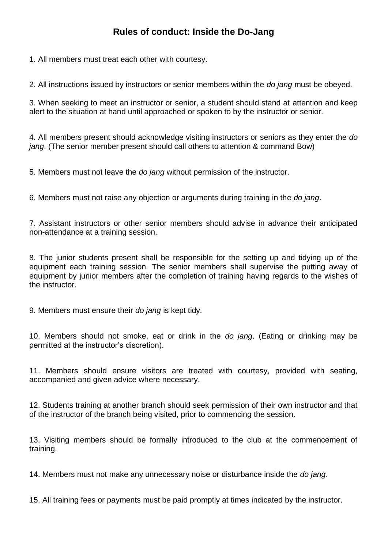## **Rules of conduct: Inside the Do-Jang**

1. All members must treat each other with courtesy.

2. All instructions issued by instructors or senior members within the *do jang* must be obeyed.

3. When seeking to meet an instructor or senior, a student should stand at attention and keep alert to the situation at hand until approached or spoken to by the instructor or senior.

4. All members present should acknowledge visiting instructors or seniors as they enter the *do jang*. (The senior member present should call others to attention & command Bow)

5. Members must not leave the *do jang* without permission of the instructor.

6. Members must not raise any objection or arguments during training in the *do jang*.

7. Assistant instructors or other senior members should advise in advance their anticipated non-attendance at a training session.

8. The junior students present shall be responsible for the setting up and tidying up of the equipment each training session. The senior members shall supervise the putting away of equipment by junior members after the completion of training having regards to the wishes of the instructor.

9. Members must ensure their *do jang* is kept tidy.

10. Members should not smoke, eat or drink in the *do jang*. (Eating or drinking may be permitted at the instructor's discretion).

11. Members should ensure visitors are treated with courtesy, provided with seating, accompanied and given advice where necessary.

12. Students training at another branch should seek permission of their own instructor and that of the instructor of the branch being visited, prior to commencing the session.

13. Visiting members should be formally introduced to the club at the commencement of training.

14. Members must not make any unnecessary noise or disturbance inside the *do jang*.

15. All training fees or payments must be paid promptly at times indicated by the instructor.